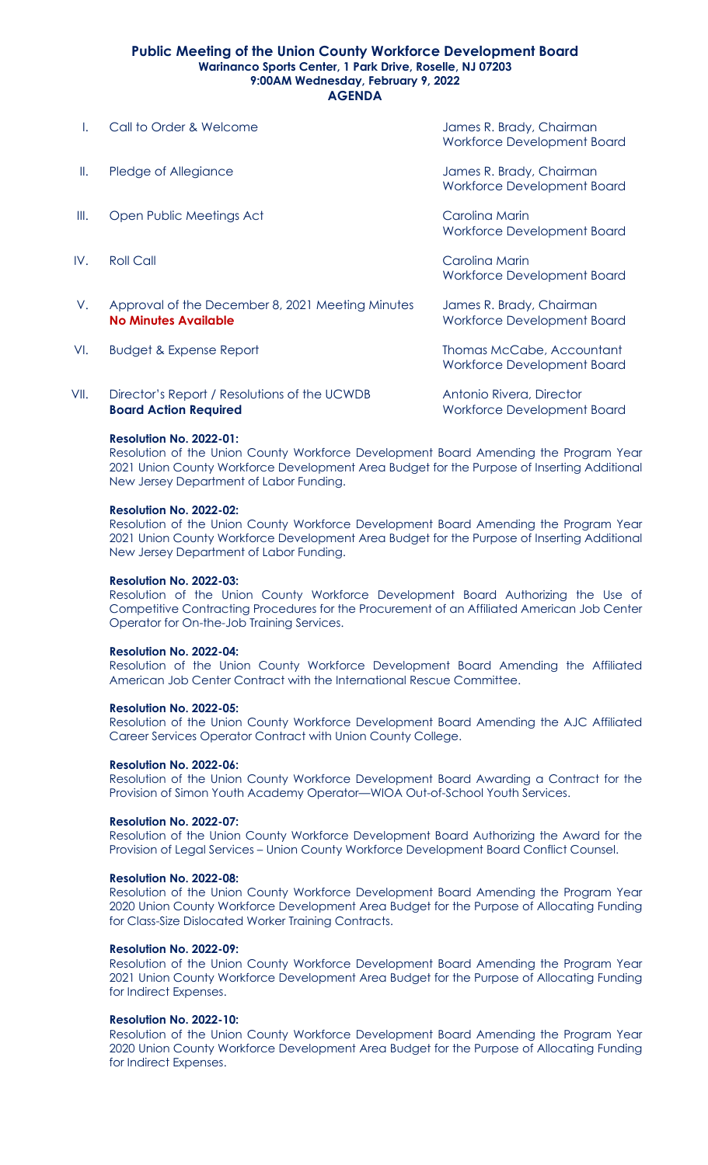## **Public Meeting of the Union County Workforce Development Board Warinanco Sports Center, 1 Park Drive, Roselle, NJ 07203 9:00AM Wednesday, February 9, 2022 AGENDA**

I. Call to Order & Welcome James R. Brady, Chairman

|      | <u>our iv viuvi u muivinu</u>                                                   | 391110311.1014077.<br>Workforce Development Board              |
|------|---------------------------------------------------------------------------------|----------------------------------------------------------------|
| Ш.   | Pledge of Allegiance                                                            | James R. Brady, Chairman<br>Workforce Development Board        |
| Ⅲ.   | Open Public Meetings Act                                                        | Carolina Marin<br>Workforce Development Board                  |
| IV.  | <b>Roll Call</b>                                                                | Carolina Marin<br>Workforce Development Board                  |
| V.   | Approval of the December 8, 2021 Meeting Minutes<br><b>No Minutes Available</b> | James R. Brady, Chairman<br><b>Workforce Development Board</b> |
| VI.  | <b>Budget &amp; Expense Report</b>                                              | Thomas McCabe, Accountant<br>Workforce Development Board       |
| VII. | Director's Report / Resolutions of the UCWDB                                    | Antonio Rivera, Director                                       |

**Board Action Required Montage Community Control Control Montage Development Board** 

# **Resolution No. 2022-01:**

Resolution of the Union County Workforce Development Board Amending the Program Year 2021 Union County Workforce Development Area Budget for the Purpose of Inserting Additional New Jersey Department of Labor Funding.

# **Resolution No. 2022-02:**

Resolution of the Union County Workforce Development Board Amending the Program Year 2021 Union County Workforce Development Area Budget for the Purpose of Inserting Additional New Jersey Department of Labor Funding.

## **Resolution No. 2022-03:**

Resolution of the Union County Workforce Development Board Authorizing the Use of Competitive Contracting Procedures for the Procurement of an Affiliated American Job Center Operator for On-the-Job Training Services.

## **Resolution No. 2022-04:**

Resolution of the Union County Workforce Development Board Amending the Affiliated American Job Center Contract with the International Rescue Committee.

## **Resolution No. 2022-05:**

Resolution of the Union County Workforce Development Board Amending the AJC Affiliated Career Services Operator Contract with Union County College.

## **Resolution No. 2022-06:**

Resolution of the Union County Workforce Development Board Awarding a Contract for the Provision of Simon Youth Academy Operator—WIOA Out-of-School Youth Services.

## **Resolution No. 2022-07:**

Resolution of the Union County Workforce Development Board Authorizing the Award for the Provision of Legal Services – Union County Workforce Development Board Conflict Counsel.

# **Resolution No. 2022-08:**

Resolution of the Union County Workforce Development Board Amending the Program Year 2020 Union County Workforce Development Area Budget for the Purpose of Allocating Funding for Class-Size Dislocated Worker Training Contracts.

## **Resolution No. 2022-09:**

Resolution of the Union County Workforce Development Board Amending the Program Year 2021 Union County Workforce Development Area Budget for the Purpose of Allocating Funding for Indirect Expenses.

## **Resolution No. 2022-10:**

Resolution of the Union County Workforce Development Board Amending the Program Year 2020 Union County Workforce Development Area Budget for the Purpose of Allocating Funding for Indirect Expenses.